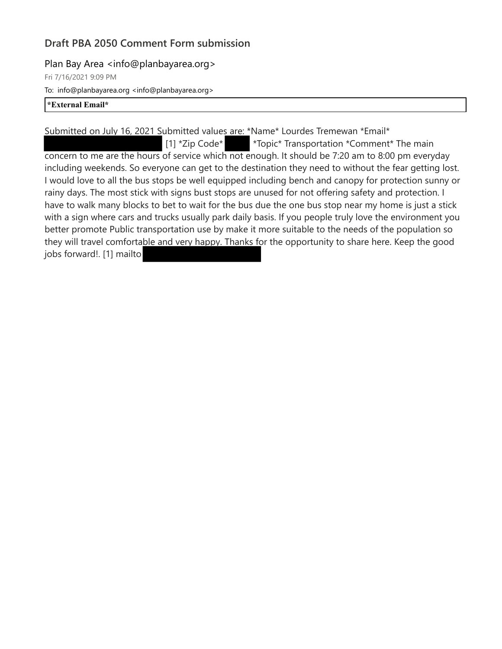# **Draft PBA 2050 Comment Form submission**

### Plan Bay Area <info@planbayarea.org>

Fri 7/16/2021 9:09 PM

To: info@planbayarea.org <info@planbayarea.org>

#### **\*External Email\***

Submitted on July 16, 2021 Submitted values are: \*Name\* Lourdes Tremewan \*Email\*

[1] \*Zip Code\* \*Topic\* Transportation \*Comment\* The main concern to me are the hours of service which not enough. It should be 7:20 am to 8:00 pm everyday including weekends. So everyone can get to the destination they need to without the fear getting lost. I would love to all the bus stops be well equipped including bench and canopy for protection sunny or rainy days. The most stick with signs bust stops are unused for not offering safety and protection. I have to walk many blocks to bet to wait for the bus due the one bus stop near my home is just a stick with a sign where cars and trucks usually park daily basis. If you people truly love the environment you better promote Public transportation use by make it more suitable to the needs of the population so they will travel comfortable and very happy. Thanks for the opportunity to share here. Keep the good jobs forward!. [1] mailto